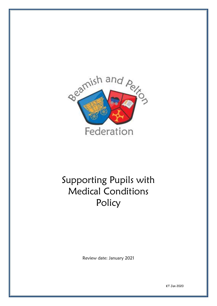

# Supporting Pupils with Medical Conditions Policy

Review date: January 2021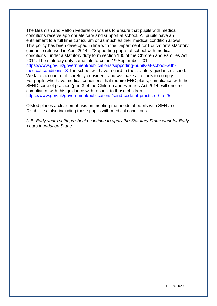The Beamish and Pelton Federation wishes to ensure that pupils with medical conditions receive appropriate care and support at school. All pupils have an entitlement to a full time curriculum or as much as their medical condition allows. This policy has been developed in line with the Department for Education's statutory guidance released in April 2014 – "Supporting pupils at school with medical conditions" under a statutory duty form section 100 of the Children and Families Act 2014. The statutory duty came into force on 1<sup>st</sup> September 2014 [https://www.gov.uk/government/publications/supporting-pupils-at-school-with](https://www.gov.uk/government/publications/supporting-pupils-at-school-with-medical-conditions--3)[medical-conditions--3](https://www.gov.uk/government/publications/supporting-pupils-at-school-with-medical-conditions--3) The school will have regard to the statutory guidance issued. We take account of it, carefully consider it and we make all efforts to comply. For pupils who have medical conditions that require EHC plans, compliance with the SEND code of practice (part 3 of the Children and Families Act 2014) will ensure compliance with this guidance with respect to those children. <https://www.gov.uk/government/publications/send-code-of-practice-0-to-25>

Ofsted places a clear emphasis on meeting the needs of pupils with SEN and Disabilities, also including those pupils with medical conditions.

*N.B. Early years settings should continue to apply the Statutory Framework for Early Years foundation Stage.*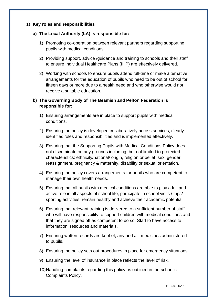## 1) **Key roles and responsibilities**

#### **a) The Local Authority (LA) is responsible for:**

- 1) Promoting co-operation between relevant partners regarding supporting pupils with medical conditions.
- 2) Providing support, advice /guidance and training to schools and their staff to ensure Individual Healthcare Plans (IHP) are effectively delivered.
- 3) Working with schools to ensure pupils attend full-time or make alternative arrangements for the education of pupils who need to be out of school for fifteen days or more due to a health need and who otherwise would not receive a suitable education.

# **b) The Governing Body of The Beamish and Pelton Federation is responsible for:**

- 1) Ensuring arrangements are in place to support pupils with medical conditions.
- 2) Ensuring the policy is developed collaboratively across services, clearly identifies roles and responsibilities and is implemented effectively.
- 3) Ensuring that the Supporting Pupils with Medical Conditions Policy does not discriminate on any grounds including, but not limited to protected characteristics: ethnicity/national/ origin, religion or belief, sex, gender reassignment, pregnancy & maternity, disability or sexual orientation.
- 4) Ensuring the policy covers arrangements for pupils who are competent to manage their own health needs.
- 5) Ensuring that all pupils with medical conditions are able to play a full and active role in all aspects of school life, participate in school visits / trips/ sporting activities, remain healthy and achieve their academic potential.
- 6) Ensuring that relevant training is delivered to a sufficient number of staff who will have responsibility to support children with medical conditions and that they are signed off as competent to do so. Staff to have access to information, resources and materials.
- 7) Ensuring written records are kept of, any and all, medicines administered to pupils.
- 8) Ensuring the policy sets out procedures in place for emergency situations.
- 9) Ensuring the level of insurance in place reflects the level of risk.
- 10)Handling complaints regarding this policy as outlined in the school's Complaints Policy.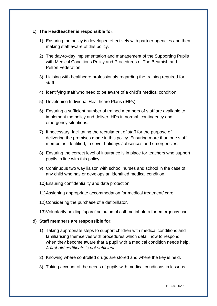## c) **The Headteacher is responsible for:**

- 1) Ensuring the policy is developed effectively with partner agencies and then making staff aware of this policy.
- 2) The day-to-day implementation and management of the Supporting Pupils with Medical Conditions Policy and Procedures of The Beamish and Pelton Federation.
- 3) Liaising with healthcare professionals regarding the training required for staff.
- 4) Identifying staff who need to be aware of a child's medical condition.
- 5) Developing Individual Healthcare Plans (IHPs).
- 6) Ensuring a sufficient number of trained members of staff are available to implement the policy and deliver IHPs in normal, contingency and emergency situations.
- 7) If necessary, facilitating the recruitment of staff for the purpose of delivering the promises made in this policy. Ensuring more than one staff member is identified, to cover holidays / absences and emergencies.
- 8) Ensuring the correct level of insurance is in place for teachers who support pupils in line with this policy.
- 9) Continuous two way liaison with school nurses and school in the case of any child who has or develops an identified medical condition.
- 10)Ensuring confidentiality and data protection
- 11)Assigning appropriate accommodation for medical treatment/ care
- 12)Considering the purchase of a defibrillator.
- 13)Voluntarily holding 'spare' salbutamol asthma inhalers for emergency use.

#### d) **Staff members are responsible for:**

- 1) Taking appropriate steps to support children with medical conditions and familiarising themselves with procedures which detail how to respond when they become aware that a pupil with a medical condition needs help. *A first-aid certificate is not sufficient*.
- 2) Knowing where controlled drugs are stored and where the key is held.
- 3) Taking account of the needs of pupils with medical conditions in lessons.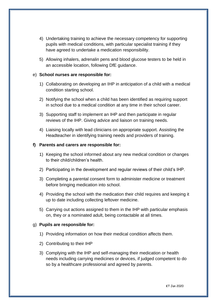- 4) Undertaking training to achieve the necessary competency for supporting pupils with medical conditions, with particular specialist training if they have agreed to undertake a medication responsibility.
- 5) Allowing inhalers, adrenalin pens and blood glucose testers to be held in an accessible location, following DfE guidance.

### e) **School nurses are responsible for:**

- 1) Collaborating on developing an IHP in anticipation of a child with a medical condition starting school.
- 2) Notifying the school when a child has been identified as requiring support in school due to a medical condition at any time in their school career.
- 3) Supporting staff to implement an IHP and then participate in regular reviews of the IHP. Giving advice and liaison on training needs.
- 4) Liaising locally with lead clinicians on appropriate support. Assisting the Headteacher in identifying training needs and providers of training.

#### **f) Parents and carers are responsible for:**

- 1) Keeping the school informed about any new medical condition or changes to their child/children's health.
- 2) Participating in the development and regular reviews of their child's IHP.
- 3) Completing a parental consent form to administer medicine or treatment before bringing medication into school.
- 4) Providing the school with the medication their child requires and keeping it up to date including collecting leftover medicine.
- 5) Carrying out actions assigned to them in the IHP with particular emphasis on, they or a nominated adult, being contactable at all times.

## g) **Pupils are responsible for:**

- 1) Providing information on how their medical condition affects them.
- 2) Contributing to their IHP
- 3) Complying with the IHP and self-managing their medication or health needs including carrying medicines or devices, if judged competent to do so by a healthcare professional and agreed by parents.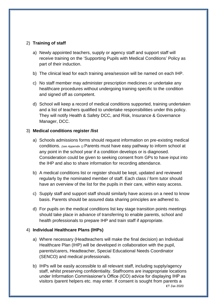# 2) **Training of staff**

- a) Newly appointed teachers, supply or agency staff and support staff will receive training on the 'Supporting Pupils with Medical Conditions' Policy as part of their induction.
- b) The clinical lead for each training area/session will be named on each IHP.
- c) No staff member may administer prescription medicines or undertake any healthcare procedures without undergoing training specific to the condition and signed off as competent.
- d) School will keep a record of medical conditions supported, training undertaken and a list of teachers qualified to undertake responsibilities under this policy. They will notify Health & Safety DCC, and Risk, Insurance & Governance Manager, DCC.

## 3) **Medical conditions register /list**

- a) Schools admissions forms should request information on pre-existing medical conditions. *(see Appendix 1)* Parents must have easy pathway to inform school at any point in the school year if a condition develops or is diagnosed. Consideration could be given to seeking consent from GPs to have input into the IHP and also to share information for recording attendance.
- b) A medical conditions list or register should be kept, updated and reviewed regularly by the nominated member of staff. Each class / form tutor should have an overview of the list for the pupils in their care, within easy access.
- c) Supply staff and support staff should similarly have access on a need to know basis. Parents should be assured data sharing principles are adhered to.
- d) For pupils on the medical conditions list key stage transition points meetings should take place in advance of transferring to enable parents, school and health professionals to prepare IHP and train staff if appropriate.

## 4) **Individual Healthcare Plans (IHPs)**

- a) Where necessary (Headteachers will make the final decision) an Individual Healthcare Plan (IHP) will be developed in collaboration with the pupil, parents/carers, Headteacher, Special Educational Needs Coordinator (SENCO) and medical professionals.
- KT Jan 2020 b) IHPs will be easily accessible to all relevant staff, including supply/agency staff, whilst preserving confidentiality. Staffrooms are inappropriate locations under Information Commissioner's Office (ICO) advice for displaying IHP as visitors /parent helpers etc. may enter. If consent is sought from parents a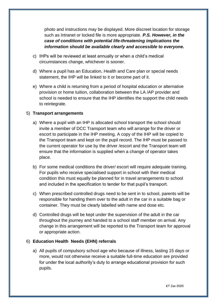photo and instructions may be displayed. More discreet location for storage such as Intranet or locked file is more appropriate. *P.S. However, in the case of conditions with potential life-threatening implications the information should be available clearly and accessible to everyone.*

- c) IHPs will be reviewed at least annually or when a child's medical circumstances change, whichever is sooner.
- d) Where a pupil has an Education, Health and Care plan or special needs statement, the IHP will be linked to it or become part of it.
- e) Where a child is returning from a period of hospital education or alternative provision or home tuition, collaboration between the LA /AP provider and school is needed to ensure that the IHP identifies the support the child needs to reintegrate.

## 5) **Transport arrangements**

- a) Where a pupil with an IHP is allocated school transport the school should invite a member of DCC Transport team who will arrange for the driver or escort to participate in the IHP meeting. A copy of the IHP will be copied to the Transport team and kept on the pupil record. The IHP must be passed to the current operator for use by the driver /escort and the Transport team will ensure that the information is supplied when a change of operator takes place.
- b) For some medical conditions the driver/ escort will require adequate training. For pupils who receive specialised support in school with their medical condition this must equally be planned for in travel arrangements to school and included in the specification to tender for that pupil's transport.
- c) When prescribed controlled drugs need to be sent in to school, parents will be responsible for handing them over to the adult in the car in a suitable bag or container. They must be clearly labelled with name and dose etc.
- d) Controlled drugs will be kept under the supervision of the adult in the car throughout the journey and handed to a school staff member on arrival. Any change in this arrangement will be reported to the Transport team for approval or appropriate action.

# 6) **Education Health Needs (EHN) referrals**

a) All pupils of compulsory school age who because of illness, lasting 15 days or more, would not otherwise receive a suitable full-time education are provided for under the local authority's duty to arrange educational provision for such pupils.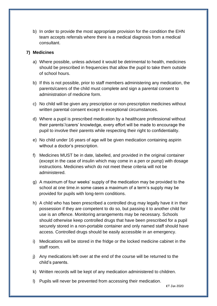b) In order to provide the most appropriate provision for the condition the EHN team accepts referrals where there is a medical diagnosis from a medical consultant.

### **7) Medicines**

- a) Where possible, unless advised it would be detrimental to health, medicines should be prescribed in frequencies that allow the pupil to take them outside of school hours.
- b) If this is not possible, prior to staff members administering any medication, the parents/carers of the child must complete and sign a parental consent to administration of medicine form.
- c) No child will be given any prescription or non-prescription medicines without written parental consent except in exceptional circumstances.
- d) Where a pupil is prescribed medication by a healthcare professional without their parents'/carers' knowledge, every effort will be made to encourage the pupil to involve their parents while respecting their right to confidentiality.
- e) No child under 16 years of age will be given medication containing aspirin without a doctor's prescription.
- f) Medicines MUST be in date, labelled, and provided in the original container (except in the case of insulin which may come in a pen or pump) with dosage instructions. Medicines which do not meet these criteria will not be administered.
- g) A maximum of four weeks' supply of the medication may be provided to the school at one time.in some cases a maximum of a term's supply may be provided for pupils with long-term conditions.
- h) A child who has been prescribed a controlled drug may legally have it in their possession if they are competent to do so, but passing it to another child for use is an offence. Monitoring arrangements may be necessary. Schools should otherwise keep controlled drugs that have been prescribed for a pupil securely stored in a non-portable container and only named staff should have access. Controlled drugs should be easily accessible in an emergency.
- i) Medications will be stored in the fridge or the locked medicine cabinet in the staff room.
- j) Any medications left over at the end of the course will be returned to the child's parents.
- k) Written records will be kept of any medication administered to children.
- l) Pupils will never be prevented from accessing their medication.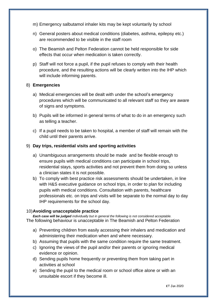- m) Emergency salbutamol inhaler kits may be kept voluntarily by school
- n) General posters about medical conditions (diabetes, asthma, epilepsy etc.) are recommended to be visible in the staff room
- o) The Beamish and Pelton Federation cannot be held responsible for side effects that occur when medication is taken correctly.
- p) Staff will not force a pupil, if the pupil refuses to comply with their health procedure, and the resulting actions will be clearly written into the IHP which will include informing parents.

#### 8) **Emergencies**

- a) Medical emergencies will be dealt with under the school's emergency procedures which will be communicated to all relevant staff so they are aware of signs and symptoms.
- b) Pupils will be informed in general terms of what to do in an emergency such as telling a teacher.
- c) If a pupil needs to be taken to hospital, a member of staff will remain with the child until their parents arrive.

#### 9) **Day trips, residential visits and sporting activities**

- a) Unambiguous arrangements should be made and be flexible enough to ensure pupils with medical conditions can participate in school trips, residential stays, sports activities and not prevent them from doing so unless a clinician states it is not possible.
- b) To comply with best practice risk assessments should be undertaken, in line with H&S executive guidance on school trips, in order to plan for including pupils with medical conditions. Consultation with parents, healthcare professionals etc. on trips and visits will be separate to the normal day to day IHP requirements for the school day.

#### 10)**Avoiding unacceptable practice**

*Each case will be judged individually but in general the following is not considered acceptable.*  The following behaviour is unacceptable in The Beamish and Pelton Federation

- a) Preventing children from easily accessing their inhalers and medication and administering their medication when and where necessary.
- b) Assuming that pupils with the same condition require the same treatment.
- c) Ignoring the views of the pupil and/or their parents or ignoring medical evidence or opinion.
- d) Sending pupils home frequently or preventing them from taking part in activities at school
- e) Sending the pupil to the medical room or school office alone or with an unsuitable escort if they become ill.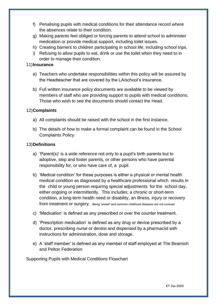- f) Penalising pupils with medical conditions for their attendance record where the absences relate to their condition.
- g) Making parents feel obliged or forcing parents to attend school to administer medication or provide medical support, including toilet issues.
- h) Creating barriers to children participating in school life, including school trips.
- i) Refusing to allow pupils to eat, drink or use the toilet when they need to in order to manage their condition.

# 11)**Insurance**

- a) Teachers who undertake responsibilities within this policy will be assured by the Headteacher that are covered by the LA/school's insurance.
- b) Full written insurance policy documents are available to be viewed by members of staff who are providing support to pupils with medical conditions. Those who wish to see the documents should contact the Head.

# 12)**Complaints**

- a) All complaints should be raised with the school in the first instance.
- b) The details of how to make a formal complaint can be found in the School Complaints Policy.

# 13)**Definitions**

- a) 'Parent(s)' is a wide reference not only to a pupil's birth parents but to adoptive, step and foster parents, or other persons who have parental responsibility for, or who have care of, a pupil.
- b) 'Medical condition' for these purposes is either a physical or mental health medical condition as diagnosed by a healthcare professional which results in the child or young person requiring special adjustments for the school day, either ongoing or intermittently. This includes; a chronic or short-term condition, a long-term health need or disability, an illness, injury or recovery from treatment or surgery. *Being 'unwell' and common childhood diseases are not covered.*
- c) 'Medication' is defined as any prescribed or over the counter treatment.
- d) 'Prescription medication' is defined as any drug or device prescribed by a doctor, prescribing nurse or dentist and dispensed by a pharmacist with instructions for administration, dose and storage.
- e) A 'staff member' is defined as any member of staff employed at The Beamish and Pelton Federation

Supporting Pupils with Medical Conditions Flowchart